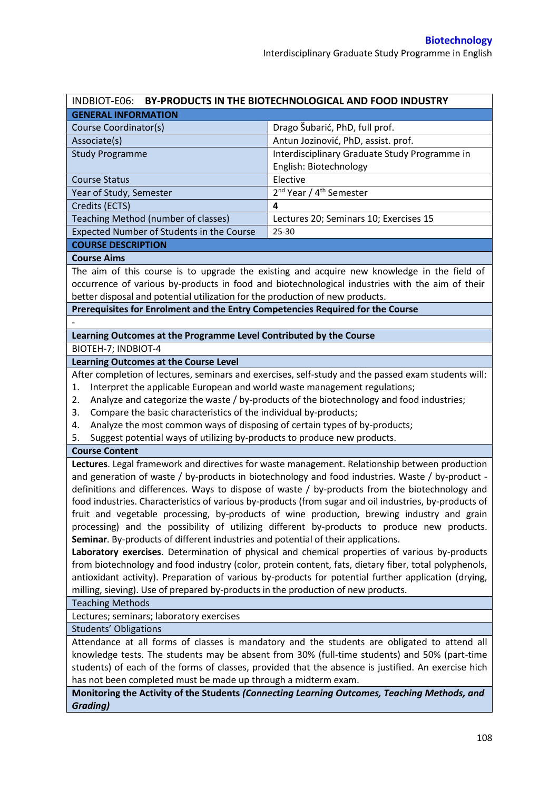| BY-PRODUCTS IN THE BIOTECHNOLOGICAL AND FOOD INDUSTRY<br>INDBIOT-E06:                               |                                                 |  |  |  |
|-----------------------------------------------------------------------------------------------------|-------------------------------------------------|--|--|--|
| <b>GENERAL INFORMATION</b>                                                                          |                                                 |  |  |  |
| Course Coordinator(s)                                                                               | Drago Šubarić, PhD, full prof.                  |  |  |  |
| Associate(s)                                                                                        | Antun Jozinović, PhD, assist. prof.             |  |  |  |
| <b>Study Programme</b>                                                                              | Interdisciplinary Graduate Study Programme in   |  |  |  |
|                                                                                                     | English: Biotechnology                          |  |  |  |
| <b>Course Status</b>                                                                                | Elective                                        |  |  |  |
| Year of Study, Semester                                                                             | 2 <sup>nd</sup> Year / 4 <sup>th</sup> Semester |  |  |  |
| Credits (ECTS)                                                                                      | 4                                               |  |  |  |
| Teaching Method (number of classes)                                                                 | Lectures 20; Seminars 10; Exercises 15          |  |  |  |
| Expected Number of Students in the Course                                                           | $25 - 30$                                       |  |  |  |
| <b>COURSE DESCRIPTION</b>                                                                           |                                                 |  |  |  |
| <b>Course Aims</b>                                                                                  |                                                 |  |  |  |
| The aim of this course is to upgrade the existing and acquire new knowledge in the field of         |                                                 |  |  |  |
| occurrence of various by-products in food and biotechnological industries with the aim of their     |                                                 |  |  |  |
| better disposal and potential utilization for the production of new products.                       |                                                 |  |  |  |
| Prerequisites for Enrolment and the Entry Competencies Required for the Course                      |                                                 |  |  |  |
|                                                                                                     |                                                 |  |  |  |
| Learning Outcomes at the Programme Level Contributed by the Course                                  |                                                 |  |  |  |
| BIOTEH-7; INDBIOT-4                                                                                 |                                                 |  |  |  |
| <b>Learning Outcomes at the Course Level</b>                                                        |                                                 |  |  |  |
| After completion of lectures, seminars and exercises, self-study and the passed exam students will: |                                                 |  |  |  |
| Interpret the applicable European and world waste management regulations;<br>1.                     |                                                 |  |  |  |
| Analyze and cotegorize the weste I by products of the biotechnology and food industrias:            |                                                 |  |  |  |

- 2. Analyze and categorize the waste / by-products of the biotechnology and food industries;
- 3. Compare the basic characteristics of the individual by-products;
- 4. Analyze the most common ways of disposing of certain types of by-products;
- 5. Suggest potential ways of utilizing by-products to produce new products.

## **Course Content**

**Lectures**. Legal framework and directives for waste management. Relationship between production and generation of waste / by-products in biotechnology and food industries. Waste / by-product definitions and differences. Ways to dispose of waste / by-products from the biotechnology and food industries. Characteristics of various by-products (from sugar and oil industries, by-products of fruit and vegetable processing, by-products of wine production, brewing industry and grain processing) and the possibility of utilizing different by-products to produce new products. **Seminar**. By-products of different industries and potential of their applications.

**Laboratory exercises**. Determination of physical and chemical properties of various by-products from biotechnology and food industry (color, protein content, fats, dietary fiber, total polyphenols, antioxidant activity). Preparation of various by-products for potential further application (drying, milling, sieving). Use of prepared by-products in the production of new products.

Teaching Methods

Lectures; seminars; laboratory exercises

Students' Obligations

Attendance at all forms of classes is mandatory and the students are obligated to attend all knowledge tests. The students may be absent from 30% (full-time students) and 50% (part-time students) of each of the forms of classes, provided that the absence is justified. An exercise hich has not been completed must be made up through a midterm exam.

**Monitoring the Activity of the Students** *(Connecting Learning Outcomes, Teaching Methods, and Grading)*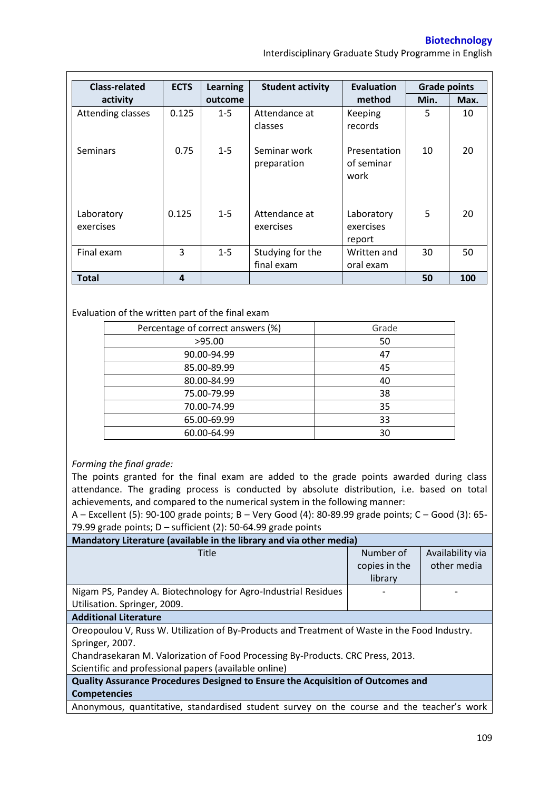**Biotechnology** 

Interdisciplinary Graduate Study Programme in English

| <b>Class-related</b>    | <b>ECTS</b> | <b>Learning</b> | <b>Student activity</b>        | <b>Evaluation</b>                  | <b>Grade points</b> |      |
|-------------------------|-------------|-----------------|--------------------------------|------------------------------------|---------------------|------|
| activity                |             | outcome         |                                | method                             | Min.                | Max. |
| Attending classes       | 0.125       | $1 - 5$         | Attendance at<br>classes       | Keeping<br>records                 | 5                   | 10   |
| <b>Seminars</b>         | 0.75        | $1 - 5$         | Seminar work<br>preparation    | Presentation<br>of seminar<br>work | 10                  | 20   |
| Laboratory<br>exercises | 0.125       | $1 - 5$         | Attendance at<br>exercises     | Laboratory<br>exercises<br>report  | 5                   | 20   |
| Final exam              | 3           | $1 - 5$         | Studying for the<br>final exam | Written and<br>oral exam           | 30                  | 50   |
| <b>Total</b>            | 4           |                 |                                |                                    | 50                  | 100  |

## Evaluation of the written part of the final exam

| Percentage of correct answers (%) | Grade |
|-----------------------------------|-------|
| >95.00                            | 50    |
| 90.00-94.99                       | 47    |
| 85.00-89.99                       | 45    |
| 80.00-84.99                       | 40    |
| 75.00-79.99                       | 38    |
| 70.00-74.99                       | 35    |
| 65.00-69.99                       | 33    |
| 60.00-64.99                       | 30    |

## *Forming the final grade:*

The points granted for the final exam are added to the grade points awarded during class attendance. The grading process is conducted by absolute distribution, i.e. based on total achievements, and compared to the numerical system in the following manner:

A – Excellent (5): 90-100 grade points; B – Very Good (4): 80-89.99 grade points; C – Good (3): 65- 79.99 grade points; D – sufficient (2): 50-64.99 grade points

| Mandatory Literature (available in the library and via other media) |               |                  |  |  |  |
|---------------------------------------------------------------------|---------------|------------------|--|--|--|
| Title                                                               | Number of     | Availability via |  |  |  |
|                                                                     | copies in the | other media      |  |  |  |
|                                                                     | library       |                  |  |  |  |
| Nigam PS, Pandey A. Biotechnology for Agro-Industrial Residues      |               |                  |  |  |  |
| Utilisation. Springer, 2009.                                        |               |                  |  |  |  |
| <b>Additional Literature</b>                                        |               |                  |  |  |  |

## **Additional Literature**

Oreopoulou V, Russ W. Utilization of By-Products and Treatment of Waste in the Food Industry. Springer, 2007.

Chandrasekaran M. Valorization of Food Processing By-Products. CRC Press, 2013. Scientific and professional papers (available online)

**Quality Assurance Procedures Designed to Ensure the Acquisition of Outcomes and Competencies**

Anonymous, quantitative, standardised student survey on the course and the teacher's work